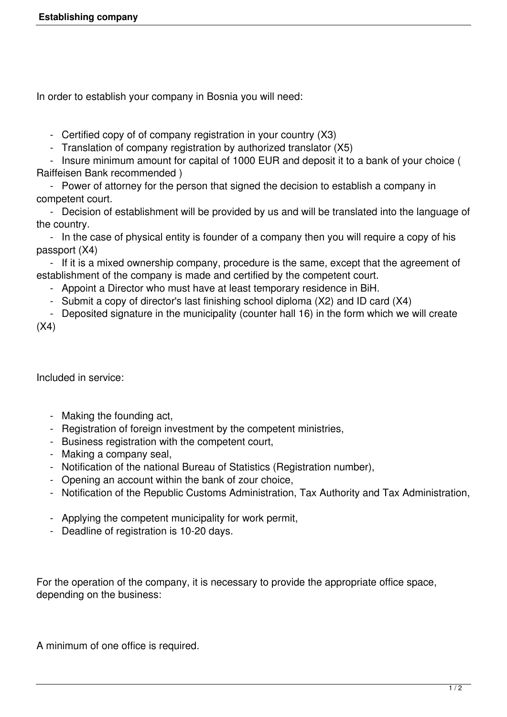In order to establish your company in Bosnia you will need:

- Certified copy of of company registration in your country (X3)

- Translation of company registration by authorized translator (X5)

 - Insure minimum amount for capital of 1000 EUR and deposit it to a bank of your choice ( Raiffeisen Bank recommended )

 - Power of attorney for the person that signed the decision to establish a company in competent court.

 - Decision of establishment will be provided by us and will be translated into the language of the country.

 - In the case of physical entity is founder of a company then you will require a copy of his passport (X4)

 - If it is a mixed ownership company, procedure is the same, except that the agreement of establishment of the company is made and certified by the competent court.

- Appoint a Director who must have at least temporary residence in BiH.
- Submit a copy of director's last finishing school diploma (X2) and ID card (X4)

 - Deposited signature in the municipality (counter hall 16) in the form which we will create  $(X4)$ 

Included in service:

- Making the founding act,
- Registration of foreign investment by the competent ministries,
- Business registration with the competent court,
- Making a company seal,
- Notification of the national Bureau of Statistics (Registration number),
- Opening an account within the bank of zour choice,
- Notification of the Republic Customs Administration, Tax Authority and Tax Administration,
- Applying the competent municipality for work permit,
- Deadline of registration is 10-20 days.

For the operation of the company, it is necessary to provide the appropriate office space, depending on the business:

A minimum of one office is required.